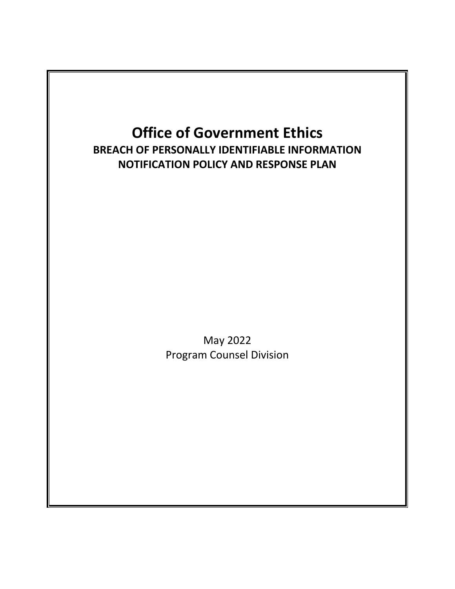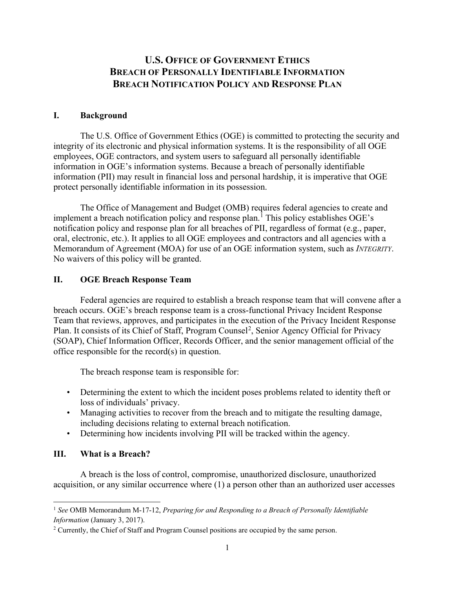# **U.S. OFFICE OF GOVERNMENT ETHICS BREACH OF PERSONALLY IDENTIFIABLE INFORMATION BREACH NOTIFICATION POLICY AND RESPONSE PLAN**

#### **I. Background**

The U.S. Office of Government Ethics (OGE) is committed to protecting the security and integrity of its electronic and physical information systems. It is the responsibility of all OGE employees, OGE contractors, and system users to safeguard all personally identifiable information in OGE's information systems. Because a breach of personally identifiable information (PII) may result in financial loss and personal hardship, it is imperative that OGE protect personally identifiable information in its possession.

The Office of Management and Budget (OMB) requires federal agencies to create and implement a breach notification policy and response plan.<sup>[1](#page-1-0)</sup> This policy establishes OGE's notification policy and response plan for all breaches of PII, regardless of format (e.g., paper, oral, electronic, etc.). It applies to all OGE employees and contractors and all agencies with a Memorandum of Agreement (MOA) for use of an OGE information system, such as *INTEGRITY*. No waivers of this policy will be granted.

#### **II. OGE Breach Response Team**

Federal agencies are required to establish a breach response team that will convene after a breach occurs. OGE's breach response team is a cross-functional Privacy Incident Response Team that reviews, approves, and participates in the execution of the Privacy Incident Response Plan. It consists of its Chief of Staff, Program Counsel<sup>[2](#page-1-1)</sup>, Senior Agency Official for Privacy (SOAP), Chief Information Officer, Records Officer, and the senior management official of the office responsible for the record(s) in question.

The breach response team is responsible for:

- Determining the extent to which the incident poses problems related to identity theft or loss of individuals' privacy.
- Managing activities to recover from the breach and to mitigate the resulting damage, including decisions relating to external breach notification.
- Determining how incidents involving PII will be tracked within the agency.

### **III. What is a Breach?**

A breach is the loss of control, compromise, unauthorized disclosure, unauthorized acquisition, or any similar occurrence where (1) a person other than an authorized user accesses

<span id="page-1-0"></span>l <sup>1</sup> *See* OMB Memorandum M-17-12, *Preparing for and Responding to a Breach of Personally Identifiable Information* (January 3, 2017).<br><sup>2</sup> Currently, the Chief of Staff and Program Counsel positions are occupied by the same person.

<span id="page-1-1"></span>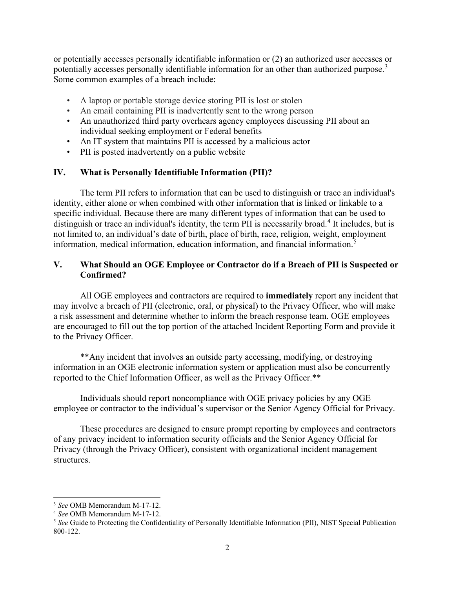or potentially accesses personally identifiable information or (2) an authorized user accesses or potentially accesses personally identifiable information for an other than authorized purpose.<sup>[3](#page-2-0)</sup> Some common examples of a breach include:

- A laptop or portable storage device storing PII is lost or stolen
- An email containing PII is inadvertently sent to the wrong person
- An unauthorized third party overhears agency employees discussing PII about an individual seeking employment or Federal benefits
- An IT system that maintains PII is accessed by a malicious actor
- PII is posted inadvertently on a public website

# **IV. What is Personally Identifiable Information (PII)?**

The term PII refers to information that can be used to distinguish or trace an individual's identity, either alone or when combined with other information that is linked or linkable to a specific individual. Because there are many different types of information that can be used to distinguish or trace an individual's identity, the term PII is necessarily broad.<sup>[4](#page-2-1)</sup> It includes, but is not limited to, an individual's date of birth, place of birth, race, religion, weight, employment information, medical information, education information, and financial information.[5](#page-2-2)

## **V. What Should an OGE Employee or Contractor do if a Breach of PII is Suspected or Confirmed?**

All OGE employees and contractors are required to **immediately** report any incident that may involve a breach of PII (electronic, oral, or physical) to the Privacy Officer, who will make a risk assessment and determine whether to inform the breach response team. OGE employees are encouraged to fill out the top portion of the attached Incident Reporting Form and provide it to the Privacy Officer.

\*\*Any incident that involves an outside party accessing, modifying, or destroying information in an OGE electronic information system or application must also be concurrently reported to the Chief Information Officer, as well as the Privacy Officer.\*\*

Individuals should report noncompliance with OGE privacy policies by any OGE employee or contractor to the individual's supervisor or the Senior Agency Official for Privacy.

These procedures are designed to ensure prompt reporting by employees and contractors of any privacy incident to information security officials and the Senior Agency Official for Privacy (through the Privacy Officer), consistent with organizational incident management structures.

l

<span id="page-2-2"></span><span id="page-2-1"></span>

<span id="page-2-0"></span><sup>&</sup>lt;sup>3</sup> See OMB Memorandum M-17-12.<br><sup>4</sup> See OMB Memorandum M-17-12.<br><sup>5</sup> See Guide to Protecting the Confidentiality of Personally Identifiable Information (PII), NIST Special Publication 800-122.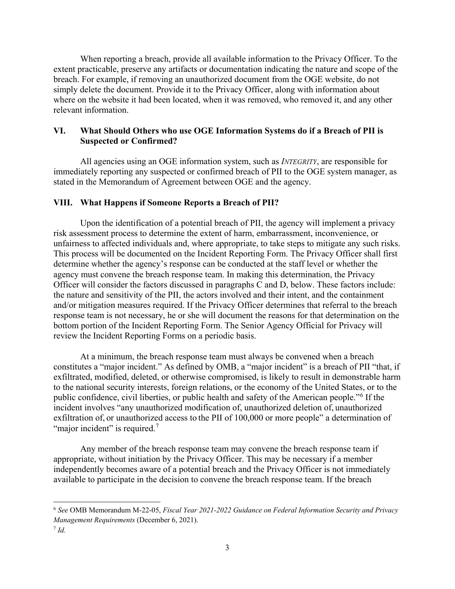When reporting a breach, provide all available information to the Privacy Officer. To the extent practicable, preserve any artifacts or documentation indicating the nature and scope of the breach. For example, if removing an unauthorized document from the OGE website, do not simply delete the document. Provide it to the Privacy Officer, along with information about where on the website it had been located, when it was removed, who removed it, and any other relevant information.

### **VI. What Should Others who use OGE Information Systems do if a Breach of PII is Suspected or Confirmed?**

All agencies using an OGE information system, such as *INTEGRITY*, are responsible for immediately reporting any suspected or confirmed breach of PII to the OGE system manager, as stated in the Memorandum of Agreement between OGE and the agency.

#### **VIII. What Happens if Someone Reports a Breach of PII?**

Upon the identification of a potential breach of PII, the agency will implement a privacy risk assessment process to determine the extent of harm, embarrassment, inconvenience, or unfairness to affected individuals and, where appropriate, to take steps to mitigate any such risks. This process will be documented on the Incident Reporting Form. The Privacy Officer shall first determine whether the agency's response can be conducted at the staff level or whether the agency must convene the breach response team. In making this determination, the Privacy Officer will consider the factors discussed in paragraphs C and D, below. These factors include: the nature and sensitivity of the PII, the actors involved and their intent, and the containment and/or mitigation measures required. If the Privacy Officer determines that referral to the breach response team is not necessary, he or she will document the reasons for that determination on the bottom portion of the Incident Reporting Form. The Senior Agency Official for Privacy will review the Incident Reporting Forms on a periodic basis.

At a minimum, the breach response team must always be convened when a breach constitutes a "major incident." As defined by OMB, a "major incident" is a breach of PII "that, if exfiltrated, modified, deleted, or otherwise compromised, is likely to result in demonstrable harm to the national security interests, foreign relations, or the economy of the United States, or to the public confidence, civil liberties, or public health and safety of the American people."[6](#page-3-0) If the incident involves "any unauthorized modification of, unauthorized deletion of, unauthorized exfiltration of, or unauthorized access to the PII of 100,000 or more people" a determination of "major incident" is required. $7$ 

Any member of the breach response team may convene the breach response team if appropriate, without initiation by the Privacy Officer. This may be necessary if a member independently becomes aware of a potential breach and the Privacy Officer is not immediately available to participate in the decision to convene the breach response team. If the breach

l

<span id="page-3-0"></span><sup>6</sup> *See* OMB Memorandum M-22-05, *Fiscal Year 2021-2022 Guidance on Federal Information Security and Privacy Management Requirements* (December 6, 2021).

<span id="page-3-1"></span><sup>7</sup> *Id.*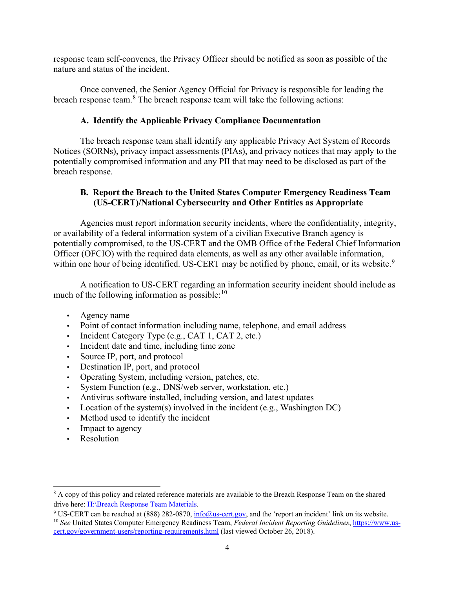response team self-convenes, the Privacy Officer should be notified as soon as possible of the nature and status of the incident.

Once convened, the Senior Agency Official for Privacy is responsible for leading the breach response team.[8](#page-4-0) The breach response team will take the following actions:

## **A. Identify the Applicable Privacy Compliance Documentation**

The breach response team shall identify any applicable Privacy Act System of Records Notices (SORNs), privacy impact assessments (PIAs), and privacy notices that may apply to the potentially compromised information and any PII that may need to be disclosed as part of the breach response.

## **B. Report the Breach to the United States Computer Emergency Readiness Team (US-CERT)/National Cybersecurity and Other Entities as Appropriate**

Agencies must report information security incidents, where the confidentiality, integrity, or availability of a federal information system of a civilian Executive Branch agency is potentially compromised, to the US-CERT and the OMB Office of the Federal Chief Information Officer (OFCIO) with the required data elements, as well as any other available information, within one hour of being identified. US-CERT may be notified by phone, email, or its website.<sup>[9](#page-4-1)</sup>

A notification to US-CERT regarding an information security incident should include as much of the following information as possible:  $10$ 

- Agency name
- Point of contact information including name, telephone, and email address
- Incident Category Type (e.g., CAT 1, CAT 2, etc.)
- Incident date and time, including time zone
- Source IP, port, and protocol
- Destination IP, port, and protocol
- Operating System, including version, patches, etc.
- System Function (e.g., DNS/web server, workstation, etc.)
- Antivirus software installed, including version, and latest updates
- Location of the system(s) involved in the incident (e.g., Washington DC)
- Method used to identify the incident
- Impact to agency
- Resolution

l

<span id="page-4-0"></span><sup>&</sup>lt;sup>8</sup> A copy of this policy and related reference materials are available to the Breach Response Team on the shared drive here[: H:\Breach Response Team Materials.](file://int-prifsc05/shared/Breach%20Response%20Team%20Materials)

<span id="page-4-2"></span><span id="page-4-1"></span><sup>9</sup> US-CERT can be reached at (888) 282-0870, [info@us-cert.gov,](mailto:info@us-cert.gov) and the 'report an incident' link on its website. <sup>10</sup> See United States Computer Emergency Readiness Team, Federal Incident Reporting Guidelines, [https://www.us](https://www.us-cert.gov/government-users/reporting-requirements.html)[cert.gov/government-users/reporting-requirements.html](https://www.us-cert.gov/government-users/reporting-requirements.html) (last viewed October 26, 2018).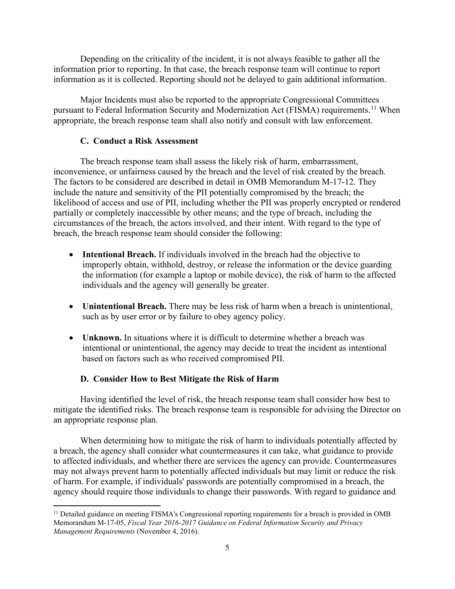Depending on the criticality of the incident, it is not always feasible to gather all the information prior to reporting. In that case, the breach response team will continue to report information as it is collected. Reporting should not be delayed to gain additional information.

Major Incidents must also be reported to the appropriate Congressional Committees pursuant to Federal Information Security and Modernization Act (FISMA) requirements.<sup>[11](#page-5-0)</sup> When appropriate, the breach response team shall also notify and consult with law enforcement.

### **C. Conduct a Risk Assessment**

The breach response team shall assess the likely risk of harm, embarrassment, inconvenience, or unfairness caused by the breach and the level of risk created by the breach. The factors to be considered are described in detail in OMB Memorandum M-17-12. They include the nature and sensitivity of the PII potentially compromised by the breach; the likelihood of access and use of PII, including whether the PII was properly encrypted or rendered partially or completely inaccessible by other means; and the type of breach, including the circumstances of the breach, the actors involved, and their intent. With regard to the type of breach, the breach response team should consider the following:

- **Intentional Breach.** If individuals involved in the breach had the objective to improperly obtain, withhold, destroy, or release the information or the device guarding the information (for example a laptop or mobile device), the risk of harm to the affected individuals and the agency will generally be greater.
- **Unintentional Breach.** There may be less risk of harm when a breach is unintentional, such as by user error or by failure to obey agency policy.
- **Unknown.** In situations where it is difficult to determine whether a breach was intentional or unintentional, the agency may decide to treat the incident as intentional based on factors such as who received compromised PII.

# **D. Consider How to Best Mitigate the Risk of Harm**

Having identified the level of risk, the breach response team shall consider how best to mitigate the identified risks. The breach response team is responsible for advising the Director on an appropriate response plan.

When determining how to mitigate the risk of harm to individuals potentially affected by a breach, the agency shall consider what countermeasures it can take, what guidance to provide to affected individuals, and whether there are services the agency can provide. Countermeasures may not always prevent harm to potentially affected individuals but may limit or reduce the risk of harm. For example, if individuals' passwords are potentially compromised in a breach, the agency should require those individuals to change their passwords. With regard to guidance and

<span id="page-5-0"></span> $\overline{a}$ <sup>11</sup> Detailed guidance on meeting FISMA's Congressional reporting requirements for a breach is provided in OMB Memorandum M-17-05, *Fiscal Year 2016-2017 Guidance on Federal Information Security and Privacy Management Requirements* (November 4, 2016).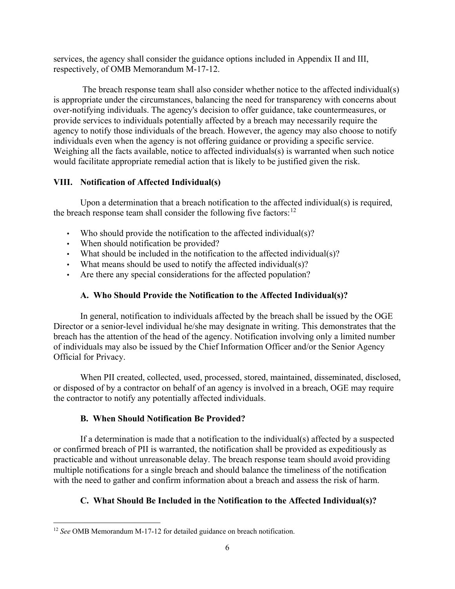services, the agency shall consider the guidance options included in Appendix II and III, respectively, of OMB Memorandum M-17-12.

The breach response team shall also consider whether notice to the affected individual(s) is appropriate under the circumstances, balancing the need for transparency with concerns about over-notifying individuals. The agency's decision to offer guidance, take countermeasures, or provide services to individuals potentially affected by a breach may necessarily require the agency to notify those individuals of the breach. However, the agency may also choose to notify individuals even when the agency is not offering guidance or providing a specific service. Weighing all the facts available, notice to affected individuals(s) is warranted when such notice would facilitate appropriate remedial action that is likely to be justified given the risk.

# **VIII. Notification of Affected Individual(s)**

Upon a determination that a breach notification to the affected individual( $s$ ) is required, the breach response team shall consider the following five factors:<sup>[12](#page-6-0)</sup>

- Who should provide the notification to the affected individual(s)?
- When should notification be provided?
- What should be included in the notification to the affected individual(s)?
- What means should be used to notify the affected individual(s)?
- Are there any special considerations for the affected population?

# **A. Who Should Provide the Notification to the Affected Individual(s)?**

In general, notification to individuals affected by the breach shall be issued by the OGE Director or a senior-level individual he/she may designate in writing. This demonstrates that the breach has the attention of the head of the agency. Notification involving only a limited number of individuals may also be issued by the Chief Information Officer and/or the Senior Agency Official for Privacy.

When PII created, collected, used, processed, stored, maintained, disseminated, disclosed, or disposed of by a contractor on behalf of an agency is involved in a breach, OGE may require the contractor to notify any potentially affected individuals.

# **B. When Should Notification Be Provided?**

If a determination is made that a notification to the individual(s) affected by a suspected or confirmed breach of PII is warranted, the notification shall be provided as expeditiously as practicable and without unreasonable delay. The breach response team should avoid providing multiple notifications for a single breach and should balance the timeliness of the notification with the need to gather and confirm information about a breach and assess the risk of harm.

# **C. What Should Be Included in the Notification to the Affected Individual(s)?**

<span id="page-6-0"></span>l <sup>12</sup> *See* OMB Memorandum M-17-12 for detailed guidance on breach notification.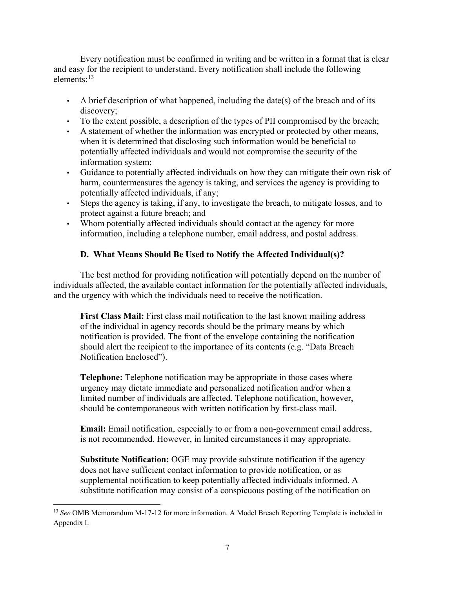Every notification must be confirmed in writing and be written in a format that is clear and easy for the recipient to understand. Every notification shall include the following elements:[13](#page-7-0)

- A brief description of what happened, including the date(s) of the breach and of its discovery;
- To the extent possible, a description of the types of PII compromised by the breach;
- A statement of whether the information was encrypted or protected by other means, when it is determined that disclosing such information would be beneficial to potentially affected individuals and would not compromise the security of the information system;
- Guidance to potentially affected individuals on how they can mitigate their own risk of harm, countermeasures the agency is taking, and services the agency is providing to potentially affected individuals, if any;
- Steps the agency is taking, if any, to investigate the breach, to mitigate losses, and to protect against a future breach; and
- Whom potentially affected individuals should contact at the agency for more information, including a telephone number, email address, and postal address.

# **D. What Means Should Be Used to Notify the Affected Individual(s)?**

The best method for providing notification will potentially depend on the number of individuals affected, the available contact information for the potentially affected individuals, and the urgency with which the individuals need to receive the notification.

**First Class Mail:** First class mail notification to the last known mailing address of the individual in agency records should be the primary means by which notification is provided. The front of the envelope containing the notification should alert the recipient to the importance of its contents (e.g. "Data Breach Notification Enclosed").

**Telephone:** Telephone notification may be appropriate in those cases where urgency may dictate immediate and personalized notification and/or when a limited number of individuals are affected. Telephone notification, however, should be contemporaneous with written notification by first-class mail.

**Email:** Email notification, especially to or from a non-government email address, is not recommended. However, in limited circumstances it may appropriate.

**Substitute Notification:** OGE may provide substitute notification if the agency does not have sufficient contact information to provide notification, or as supplemental notification to keep potentially affected individuals informed. A substitute notification may consist of a conspicuous posting of the notification on

<span id="page-7-0"></span> $\overline{\phantom{a}}$ <sup>13</sup> *See* OMB Memorandum M-17-12 for more information. A Model Breach Reporting Template is included in Appendix I.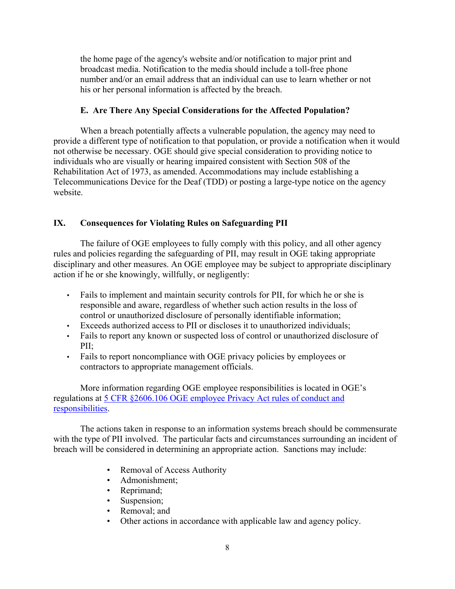the home page of the agency's website and/or notification to major print and broadcast media. Notification to the media should include a toll-free phone number and/or an email address that an individual can use to learn whether or not his or her personal information is affected by the breach.

#### **E. Are There Any Special Considerations for the Affected Population?**

When a breach potentially affects a vulnerable population, the agency may need to provide a different type of notification to that population, or provide a notification when it would not otherwise be necessary. OGE should give special consideration to providing notice to individuals who are visually or hearing impaired consistent with Section 508 of the Rehabilitation Act of 1973, as amended. Accommodations may include establishing a Telecommunications Device for the Deaf (TDD) or posting a large-type notice on the agency website.

### **IX. Consequences for Violating Rules on Safeguarding PII**

The failure of OGE employees to fully comply with this policy, and all other agency rules and policies regarding the safeguarding of PII, may result in OGE taking appropriate disciplinary and other measures. An OGE employee may be subject to appropriate disciplinary action if he or she knowingly, willfully, or negligently:

- Fails to implement and maintain security controls for PII, for which he or she is responsible and aware, regardless of whether such action results in the loss of control or unauthorized disclosure of personally identifiable information;
- Exceeds authorized access to PII or discloses it to unauthorized individuals;
- Fails to report any known or suspected loss of control or unauthorized disclosure of PII;
- Fails to report noncompliance with OGE privacy policies by employees or contractors to appropriate management officials.

More information regarding OGE employee responsibilities is located in OGE's regulations at 5 CFR §2606.106 [OGE employee Privacy Act rules of conduct and](https://www.ecfr.gov/current/title-5/part-2606)  [responsibilities.](https://www.ecfr.gov/current/title-5/part-2606)

The actions taken in response to an information systems breach should be commensurate with the type of PII involved. The particular facts and circumstances surrounding an incident of breach will be considered in determining an appropriate action. Sanctions may include:

- Removal of Access Authority
- Admonishment;
- Reprimand;
- Suspension;
- Removal; and
- Other actions in accordance with applicable law and agency policy.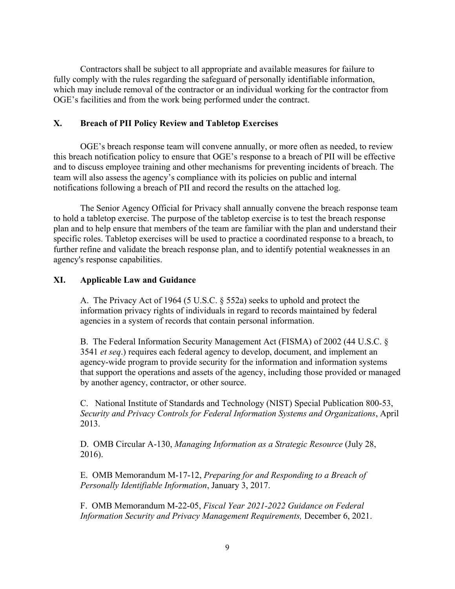Contractors shall be subject to all appropriate and available measures for failure to fully comply with the rules regarding the safeguard of personally identifiable information, which may include removal of the contractor or an individual working for the contractor from OGE's facilities and from the work being performed under the contract.

### **X. Breach of PII Policy Review and Tabletop Exercises**

OGE's breach response team will convene annually, or more often as needed, to review this breach notification policy to ensure that OGE's response to a breach of PII will be effective and to discuss employee training and other mechanisms for preventing incidents of breach. The team will also assess the agency's compliance with its policies on public and internal notifications following a breach of PII and record the results on the attached log.

The Senior Agency Official for Privacy shall annually convene the breach response team to hold a tabletop exercise. The purpose of the tabletop exercise is to test the breach response plan and to help ensure that members of the team are familiar with the plan and understand their specific roles. Tabletop exercises will be used to practice a coordinated response to a breach, to further refine and validate the breach response plan, and to identify potential weaknesses in an agency's response capabilities.

## **XI. Applicable Law and Guidance**

A. The Privacy Act of 1964 (5 U.S.C. § 552a) seeks to uphold and protect the information privacy rights of individuals in regard to records maintained by federal agencies in a system of records that contain personal information.

B. The Federal Information Security Management Act (FISMA) of 2002 (44 U.S.C. § 3541 *et seq*.) requires each federal agency to develop, document, and implement an agency-wide program to provide security for the information and information systems that support the operations and assets of the agency, including those provided or managed by another agency, contractor, or other source.

C. National Institute of Standards and Technology (NIST) Special Publication 800-53, *Security and Privacy Controls for Federal Information Systems and Organizations*, April 2013.

D. OMB Circular A-130, *Managing Information as a Strategic Resource* (July 28, 2016).

E. OMB Memorandum M-17-12, *Preparing for and Responding to a Breach of Personally Identifiable Information*, January 3, 2017.

F. OMB Memorandum M-22-05, *Fiscal Year 2021-2022 Guidance on Federal Information Security and Privacy Management Requirements,* December 6, 2021.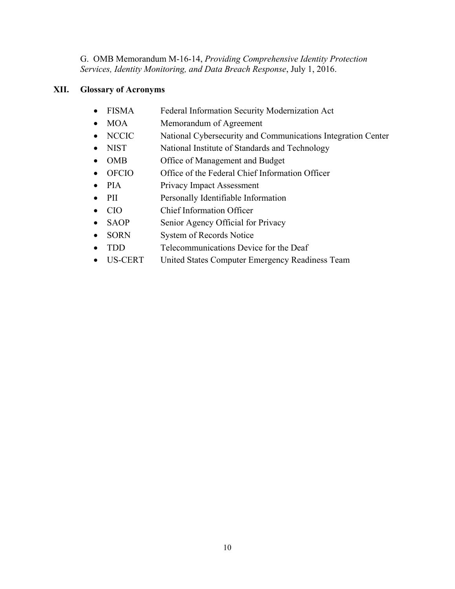G. OMB Memorandum M-16-14, *Providing Comprehensive Identity Protection Services, Identity Monitoring, and Data Breach Response*, July 1, 2016.

## **XII. Glossary of Acronyms**

- FISMA Federal Information Security Modernization Act
- MOA Memorandum of Agreement
- NCCIC National Cybersecurity and Communications Integration Center
- NIST National Institute of Standards and Technology
- OMB Office of Management and Budget
- OFCIO Office of the Federal Chief Information Officer
- PIA Privacy Impact Assessment
- PII Personally Identifiable Information
- CIO Chief Information Officer
- SAOP Senior Agency Official for Privacy
- SORN System of Records Notice
- TDD Telecommunications Device for the Deaf
- US-CERT United States Computer Emergency Readiness Team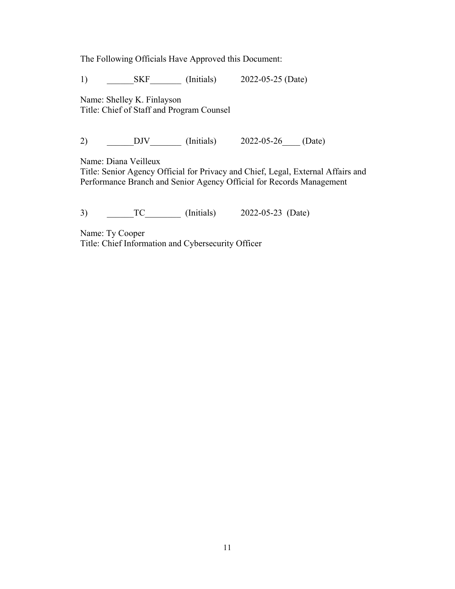The Following Officials Have Approved this Document:

1) \_\_\_\_\_\_SKF\_\_\_\_\_\_\_ (Initials) 2022-05-25 (Date)

Name: Shelley K. Finlayson Title: Chief of Staff and Program Counsel

2) DJV (Initials) 2022-05-26 (Date)

Name: Diana Veilleux

Title: Senior Agency Official for Privacy and Chief, Legal, External Affairs and Performance Branch and Senior Agency Official for Records Management

3) \_\_\_\_\_\_\_TC\_\_\_\_\_\_\_\_ (Initials) 2022-05-23 (Date)

Name: Ty Cooper Title: Chief Information and Cybersecurity Officer